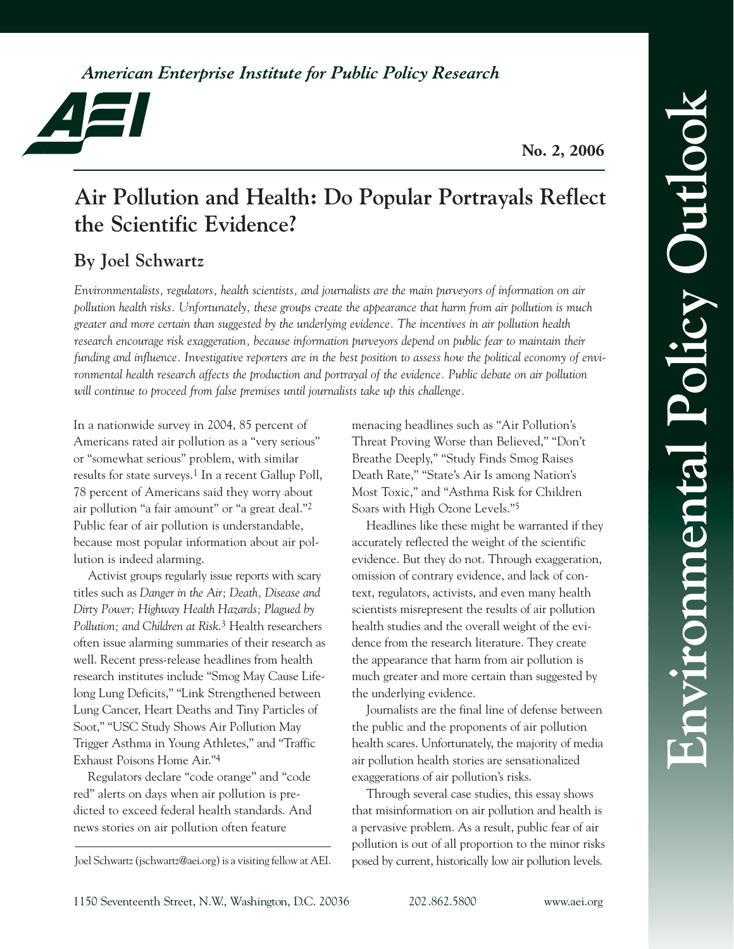American Enterprise Institute for Public Policy Research



**No. 2, 2006**

# **Air Pollution and Health: Do Popular Portrayals Reflect the Scientific Evidence?**

# **By Joel Schwartz**

*Environmentalists, regulators, health scientists, and journalists are the main purveyors of information on air pollution health risks. Unfortunately, these groups create the appearance that harm from air pollution is much greater and more certain than suggested by the underlying evidence. The incentives in air pollution health research encourage risk exaggeration, because information purveyors depend on public fear to maintain their funding and influence. Investigative reporters are in the best position to assess how the political economy of environmental health research affects the production and portrayal of the evidence. Public debate on air pollution will continue to proceed from false premises until journalists take up this challenge.*

In a nationwide survey in 2004, 85 percent of Americans rated air pollution as a "very serious" or "somewhat serious" problem, with similar results for state surveys.<sup>1</sup> In a recent Gallup Poll, 78 percent of Americans said they worry about air pollution "a fair amount" or "a great deal."2 Public fear of air pollution is understandable, because most popular information about air pollution is indeed alarming.

Activist groups regularly issue reports with scary titles such as *Danger in the Air; Death, Disease and Dirty Power; Highway Health Hazards; Plagued by Pollution; and Children at Risk*. 3 Health researchers often issue alarming summaries of their research as well. Recent press-release headlines from health research institutes include "Smog May Cause Lifelong Lung Deficits," "Link Strengthened between Lung Cancer, Heart Deaths and Tiny Particles of Soot," "USC Study Shows Air Pollution May Trigger Asthma in Young Athletes," and "Traffic Exhaust Poisons Home Air."4

Regulators declare "code orange" and "code red" alerts on days when air pollution is predicted to exceed federal health standards. And news stories on air pollution often feature

Joel Schwartz (jschwartz@aei.org) is a visiting fellow at AEI.

menacing headlines such as "Air Pollution's Threat Proving Worse than Believed," "Don't Breathe Deeply," "Study Finds Smog Raises Death Rate," "State's Air Is among Nation's Most Toxic," and "Asthma Risk for Children Soars with High Ozone Levels."5

Headlines like these might be warranted if they accurately reflected the weight of the scientific evidence. But they do not. Through exaggeration, omission of contrary evidence, and lack of context, regulators, activists, and even many health scientists misrepresent the results of air pollution health studies and the overall weight of the evidence from the research literature. They create the appearance that harm from air pollution is much greater and more certain than suggested by the underlying evidence.

Journalists are the final line of defense between the public and the proponents of air pollution health scares. Unfortunately, the majority of media air pollution health stories are sensationalized exaggerations of air pollution's risks.

Through several case studies, this essay shows that misinformation on air pollution and health is a pervasive problem. As a result, public fear of air pollution is out of all proportion to the minor risks posed by current, historically low air pollution levels.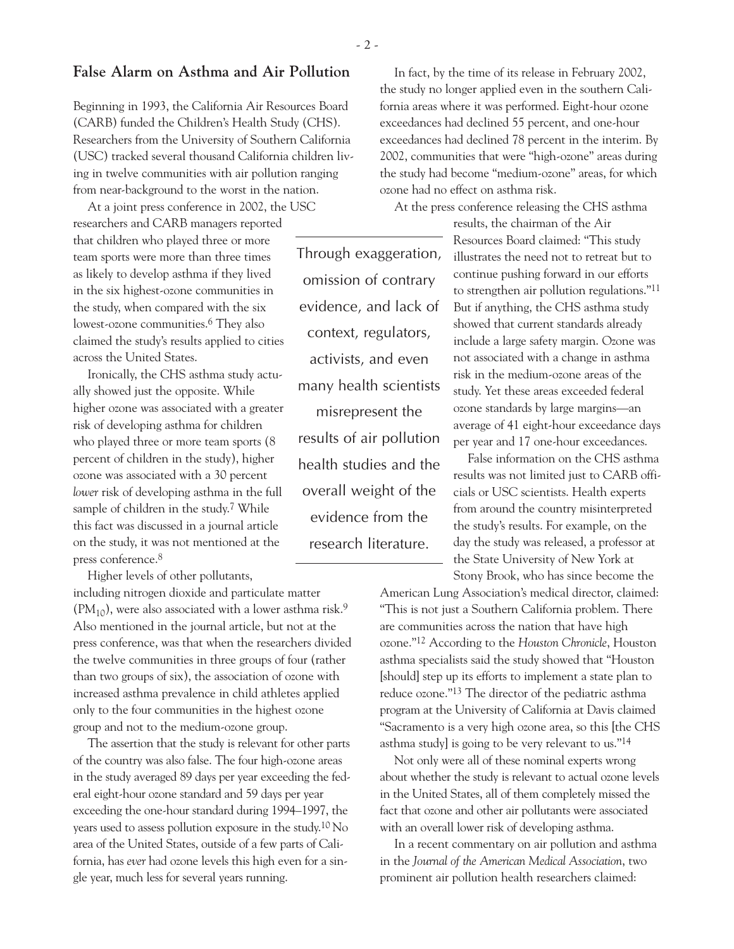Beginning in 1993, the California Air Resources Board (CARB) funded the Children's Health Study (CHS). Researchers from the University of Southern California (USC) tracked several thousand California children living in twelve communities with air pollution ranging from near-background to the worst in the nation.

At a joint press conference in 2002, the USC researchers and CARB managers reported that children who played three or more team sports were more than three times as likely to develop asthma if they lived in the six highest-ozone communities in the study, when compared with the six lowest-ozone communities.6 They also claimed the study's results applied to cities across the United States.

Ironically, the CHS asthma study actually showed just the opposite. While higher ozone was associated with a greater risk of developing asthma for children who played three or more team sports (8 percent of children in the study), higher ozone was associated with a 30 percent *lower* risk of developing asthma in the full sample of children in the study.<sup>7</sup> While this fact was discussed in a journal article on the study, it was not mentioned at the press conference.8

Higher levels of other pollutants,

including nitrogen dioxide and particulate matter  $(PM_{10})$ , were also associated with a lower asthma risk.<sup>9</sup> Also mentioned in the journal article, but not at the press conference, was that when the researchers divided the twelve communities in three groups of four (rather than two groups of six), the association of ozone with increased asthma prevalence in child athletes applied only to the four communities in the highest ozone group and not to the medium-ozone group.

The assertion that the study is relevant for other parts of the country was also false. The four high-ozone areas in the study averaged 89 days per year exceeding the federal eight-hour ozone standard and 59 days per year exceeding the one-hour standard during 1994–1997, the years used to assess pollution exposure in the study.10 No area of the United States, outside of a few parts of California, has *ever* had ozone levels this high even for a single year, much less for several years running.

In fact, by the time of its release in February 2002, the study no longer applied even in the southern California areas where it was performed. Eight-hour ozone exceedances had declined 55 percent, and one-hour exceedances had declined 78 percent in the interim. By 2002, communities that were "high-ozone" areas during the study had become "medium-ozone" areas, for which ozone had no effect on asthma risk.

At the press conference releasing the CHS asthma

results, the chairman of the Air Resources Board claimed: "This study illustrates the need not to retreat but to continue pushing forward in our efforts to strengthen air pollution regulations."11 But if anything, the CHS asthma study showed that current standards already include a large safety margin. Ozone was not associated with a change in asthma risk in the medium-ozone areas of the study. Yet these areas exceeded federal ozone standards by large margins—an average of 41 eight-hour exceedance days per year and 17 one-hour exceedances.

False information on the CHS asthma results was not limited just to CARB officials or USC scientists. Health experts from around the country misinterpreted the study's results. For example, on the day the study was released, a professor at the State University of New York at Stony Brook, who has since become the

American Lung Association's medical director, claimed: "This is not just a Southern California problem. There are communities across the nation that have high ozone."12 According to the *Houston Chronicle*, Houston asthma specialists said the study showed that "Houston [should] step up its efforts to implement a state plan to reduce ozone."13 The director of the pediatric asthma program at the University of California at Davis claimed "Sacramento is a very high ozone area, so this [the CHS asthma study] is going to be very relevant to us."14

Not only were all of these nominal experts wrong about whether the study is relevant to actual ozone levels in the United States, all of them completely missed the fact that ozone and other air pollutants were associated with an overall lower risk of developing asthma.

In a recent commentary on air pollution and asthma in the *Journal of the American Medical Association*, two prominent air pollution health researchers claimed:

- 2 -

Through exaggeration,

omission of contrary

evidence, and lack of

context, regulators,

activists, and even

many health scientists

misrepresent the

results of air pollution

health studies and the

overall weight of the

evidence from the

research literature.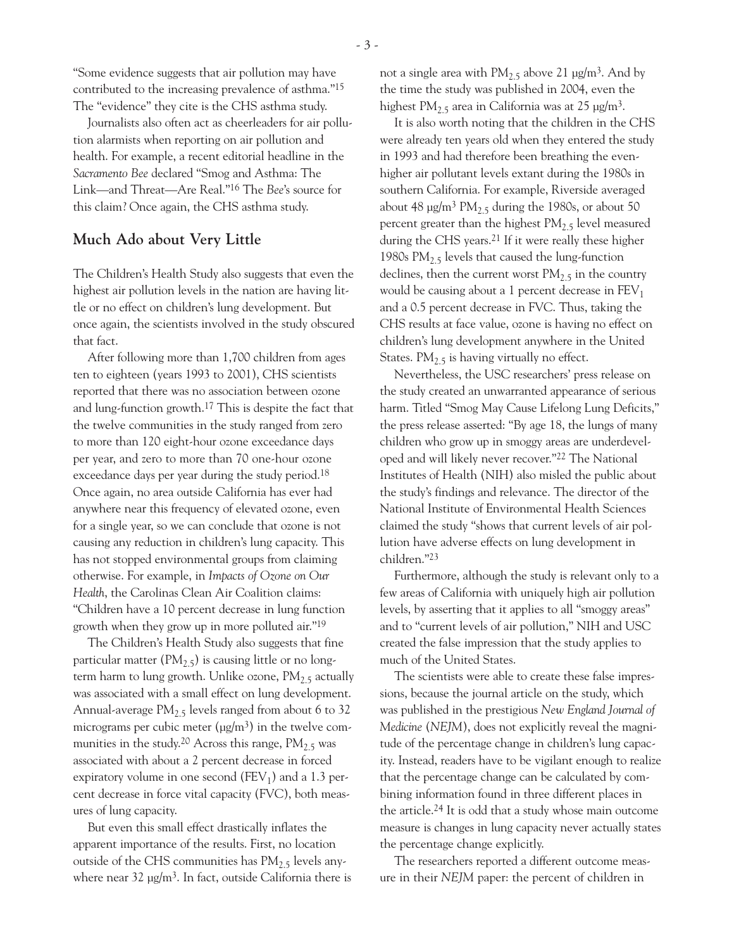"Some evidence suggests that air pollution may have contributed to the increasing prevalence of asthma."15 The "evidence" they cite is the CHS asthma study.

Journalists also often act as cheerleaders for air pollution alarmists when reporting on air pollution and health. For example, a recent editorial headline in the *Sacramento Bee* declared "Smog and Asthma: The Link—and Threat—Are Real."16 The *Bee*'s source for this claim? Once again, the CHS asthma study.

# **Much Ado about Very Little**

The Children's Health Study also suggests that even the highest air pollution levels in the nation are having little or no effect on children's lung development. But once again, the scientists involved in the study obscured that fact.

After following more than 1,700 children from ages ten to eighteen (years 1993 to 2001), CHS scientists reported that there was no association between ozone and lung-function growth.17 This is despite the fact that the twelve communities in the study ranged from zero to more than 120 eight-hour ozone exceedance days per year, and zero to more than 70 one-hour ozone exceedance days per year during the study period.<sup>18</sup> Once again, no area outside California has ever had anywhere near this frequency of elevated ozone, even for a single year, so we can conclude that ozone is not causing any reduction in children's lung capacity. This has not stopped environmental groups from claiming otherwise. For example, in *Impacts of Ozone on Our Health*, the Carolinas Clean Air Coalition claims: "Children have a 10 percent decrease in lung function growth when they grow up in more polluted air."19

The Children's Health Study also suggests that fine particular matter (PM<sub>2.5</sub>) is causing little or no longterm harm to lung growth. Unlike ozone,  $PM_{2.5}$  actually was associated with a small effect on lung development. Annual-average  $PM<sub>2.5</sub>$  levels ranged from about 6 to 32 micrograms per cubic meter  $(\mu g/m^3)$  in the twelve communities in the study.<sup>20</sup> Across this range,  $PM_{2.5}$  was associated with about a 2 percent decrease in forced expiratory volume in one second ( $FEV<sub>1</sub>$ ) and a 1.3 percent decrease in force vital capacity (FVC), both measures of lung capacity.

But even this small effect drastically inflates the apparent importance of the results. First, no location outside of the CHS communities has  $PM_{2.5}$  levels anywhere near  $32 \text{ µg/m}^3$ . In fact, outside California there is not a single area with  $PM_{2.5}$  above 21  $\mu$ g/m<sup>3</sup>. And by the time the study was published in 2004, even the highest PM<sub>2.5</sub> area in California was at 25  $\mu$ g/m<sup>3</sup>.

It is also worth noting that the children in the CHS were already ten years old when they entered the study in 1993 and had therefore been breathing the evenhigher air pollutant levels extant during the 1980s in southern California. For example, Riverside averaged about 48  $\mu$ g/m<sup>3</sup> PM<sub>2.5</sub> during the 1980s, or about 50 percent greater than the highest  $PM<sub>2.5</sub>$  level measured during the CHS years.21 If it were really these higher 1980s  $PM<sub>2.5</sub>$  levels that caused the lung-function declines, then the current worst  $PM_{2.5}$  in the country would be causing about a 1 percent decrease in  $FEV<sub>1</sub>$ and a 0.5 percent decrease in FVC. Thus, taking the CHS results at face value, ozone is having no effect on children's lung development anywhere in the United States.  $PM_{2.5}$  is having virtually no effect.

Nevertheless, the USC researchers' press release on the study created an unwarranted appearance of serious harm. Titled "Smog May Cause Lifelong Lung Deficits," the press release asserted: "By age 18, the lungs of many children who grow up in smoggy areas are underdeveloped and will likely never recover."22 The National Institutes of Health (NIH) also misled the public about the study's findings and relevance. The director of the National Institute of Environmental Health Sciences claimed the study "shows that current levels of air pollution have adverse effects on lung development in children."23

Furthermore, although the study is relevant only to a few areas of California with uniquely high air pollution levels, by asserting that it applies to all "smoggy areas" and to "current levels of air pollution," NIH and USC created the false impression that the study applies to much of the United States.

The scientists were able to create these false impressions, because the journal article on the study, which was published in the prestigious *New England Journal of Medicine* (*NEJM*), does not explicitly reveal the magnitude of the percentage change in children's lung capacity. Instead, readers have to be vigilant enough to realize that the percentage change can be calculated by combining information found in three different places in the article.24 It is odd that a study whose main outcome measure is changes in lung capacity never actually states the percentage change explicitly.

The researchers reported a different outcome measure in their *NEJM* paper: the percent of children in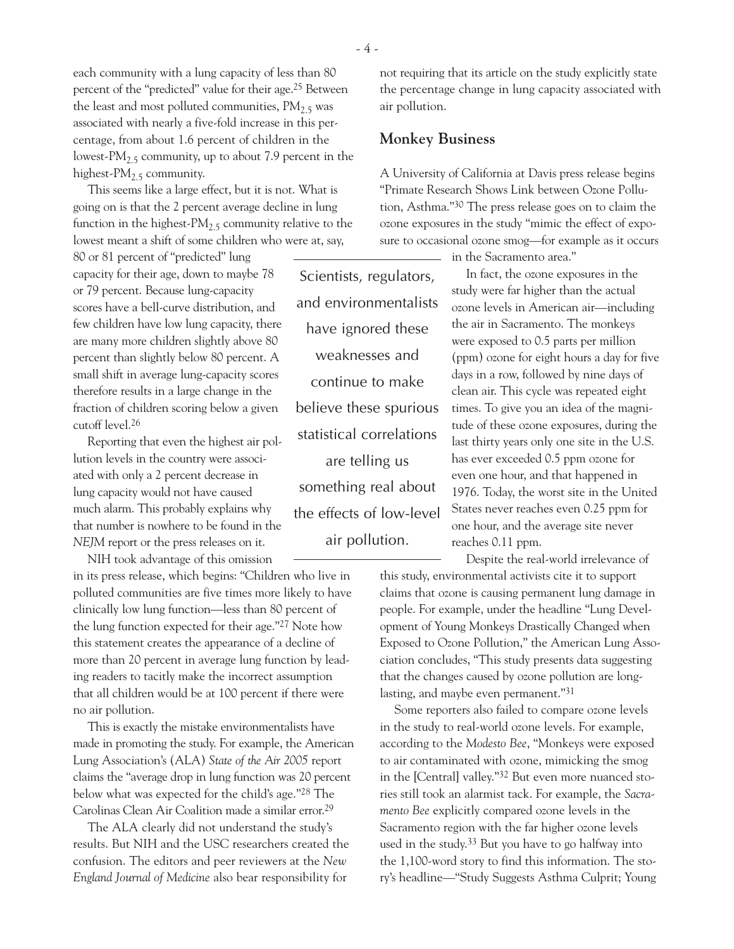each community with a lung capacity of less than 80 percent of the "predicted" value for their age.25 Between the least and most polluted communities,  $PM<sub>2.5</sub>$  was associated with nearly a five-fold increase in this percentage, from about 1.6 percent of children in the lowest- $PM_{2,5}$  community, up to about 7.9 percent in the highest-PM<sub>2.5</sub> community.

This seems like a large effect, but it is not. What is going on is that the 2 percent average decline in lung function in the highest- $PM_{2.5}$  community relative to the lowest meant a shift of some children who were at, say,

80 or 81 percent of "predicted" lung capacity for their age, down to maybe 78 or 79 percent. Because lung-capacity scores have a bell-curve distribution, and few children have low lung capacity, there are many more children slightly above 80 percent than slightly below 80 percent. A small shift in average lung-capacity scores therefore results in a large change in the fraction of children scoring below a given cutoff level.26

Reporting that even the highest air pollution levels in the country were associated with only a 2 percent decrease in lung capacity would not have caused much alarm. This probably explains why that number is nowhere to be found in the *NEJM* report or the press releases on it.

NIH took advantage of this omission

in its press release, which begins: "Children who live in polluted communities are five times more likely to have clinically low lung function—less than 80 percent of the lung function expected for their age."27 Note how this statement creates the appearance of a decline of more than 20 percent in average lung function by leading readers to tacitly make the incorrect assumption that all children would be at 100 percent if there were no air pollution.

This is exactly the mistake environmentalists have made in promoting the study. For example, the American Lung Association's (ALA) *State of the Air 2005* report claims the "average drop in lung function was 20 percent below what was expected for the child's age."28 The Carolinas Clean Air Coalition made a similar error.29

The ALA clearly did not understand the study's results. But NIH and the USC researchers created the confusion. The editors and peer reviewers at the *New England Journal of Medicine* also bear responsibility for

not requiring that its article on the study explicitly state the percentage change in lung capacity associated with air pollution.

# **Monkey Business**

A University of California at Davis press release begins "Primate Research Shows Link between Ozone Pollution, Asthma."30 The press release goes on to claim the ozone exposures in the study "mimic the effect of exposure to occasional ozone smog—for example as it occurs

in the Sacramento area."

In fact, the ozone exposures in the study were far higher than the actual ozone levels in American air—including the air in Sacramento. The monkeys were exposed to 0.5 parts per million (ppm) ozone for eight hours a day for five days in a row, followed by nine days of clean air. This cycle was repeated eight times. To give you an idea of the magnitude of these ozone exposures, during the last thirty years only one site in the U.S. has ever exceeded 0.5 ppm ozone for even one hour, and that happened in 1976. Today, the worst site in the United States never reaches even 0.25 ppm for one hour, and the average site never reaches 0.11 ppm.

Despite the real-world irrelevance of this study, environmental activists cite it to support claims that ozone is causing permanent lung damage in people. For example, under the headline "Lung Development of Young Monkeys Drastically Changed when Exposed to Ozone Pollution," the American Lung Association concludes, "This study presents data suggesting that the changes caused by ozone pollution are longlasting, and maybe even permanent."31

Some reporters also failed to compare ozone levels in the study to real-world ozone levels. For example, according to the *Modesto Bee*, "Monkeys were exposed to air contaminated with ozone, mimicking the smog in the [Central] valley."32 But even more nuanced stories still took an alarmist tack. For example, the *Sacramento Bee* explicitly compared ozone levels in the Sacramento region with the far higher ozone levels used in the study.33 But you have to go halfway into the 1,100-word story to find this information. The story's headline—"Study Suggests Asthma Culprit; Young

- 4 -

Scientists, regulators,

and environmentalists

have ignored these

weaknesses and

continue to make

believe these spurious

statistical correlations

are telling us

something real about

the effects of low-level

air pollution.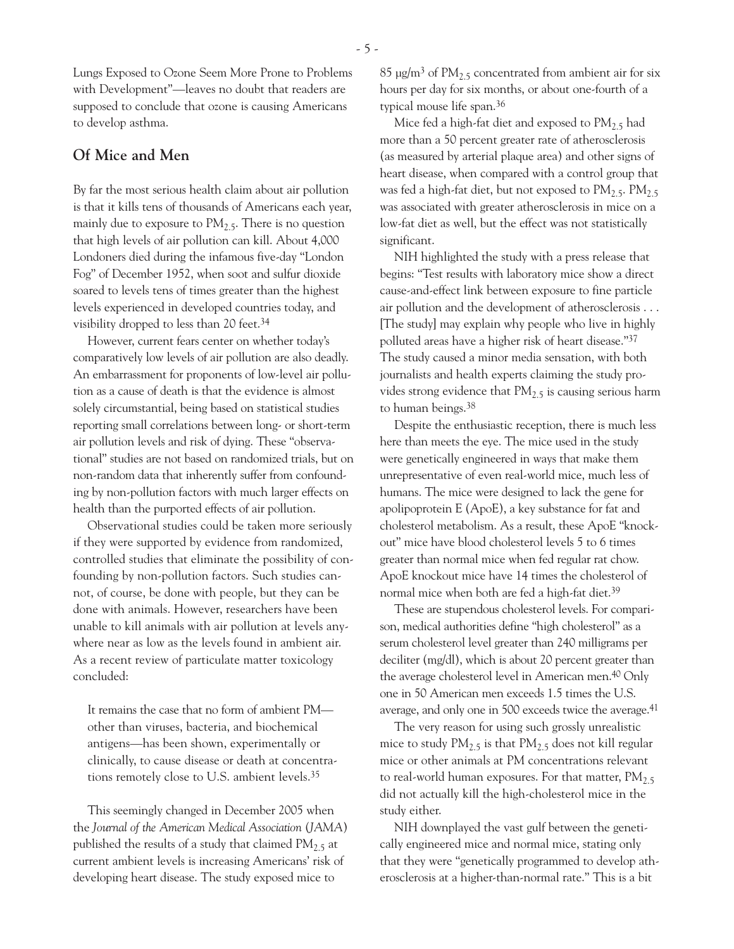Lungs Exposed to Ozone Seem More Prone to Problems with Development"—leaves no doubt that readers are supposed to conclude that ozone is causing Americans to develop asthma.

#### **Of Mice and Men**

By far the most serious health claim about air pollution is that it kills tens of thousands of Americans each year, mainly due to exposure to  $PM<sub>2.5</sub>$ . There is no question that high levels of air pollution can kill. About 4,000 Londoners died during the infamous five-day "London Fog" of December 1952, when soot and sulfur dioxide soared to levels tens of times greater than the highest levels experienced in developed countries today, and visibility dropped to less than 20 feet.34

However, current fears center on whether today's comparatively low levels of air pollution are also deadly. An embarrassment for proponents of low-level air pollution as a cause of death is that the evidence is almost solely circumstantial, being based on statistical studies reporting small correlations between long- or short-term air pollution levels and risk of dying. These "observational" studies are not based on randomized trials, but on non-random data that inherently suffer from confounding by non-pollution factors with much larger effects on health than the purported effects of air pollution.

Observational studies could be taken more seriously if they were supported by evidence from randomized, controlled studies that eliminate the possibility of confounding by non-pollution factors. Such studies cannot, of course, be done with people, but they can be done with animals. However, researchers have been unable to kill animals with air pollution at levels anywhere near as low as the levels found in ambient air. As a recent review of particulate matter toxicology concluded:

It remains the case that no form of ambient PM other than viruses, bacteria, and biochemical antigens—has been shown, experimentally or clinically, to cause disease or death at concentrations remotely close to U.S. ambient levels.35

This seemingly changed in December 2005 when the *Journal of the American Medical Association* (*JAMA*) published the results of a study that claimed  $PM_2$ , at current ambient levels is increasing Americans' risk of developing heart disease. The study exposed mice to

85  $\mu$ g/m<sup>3</sup> of PM<sub>2.5</sub> concentrated from ambient air for six hours per day for six months, or about one-fourth of a typical mouse life span.36

Mice fed a high-fat diet and exposed to  $PM_{2.5}$  had more than a 50 percent greater rate of atherosclerosis (as measured by arterial plaque area) and other signs of heart disease, when compared with a control group that was fed a high-fat diet, but not exposed to  $PM_{2.5}$ .  $PM_{2.5}$ was associated with greater atherosclerosis in mice on a low-fat diet as well, but the effect was not statistically significant.

NIH highlighted the study with a press release that begins: "Test results with laboratory mice show a direct cause-and-effect link between exposure to fine particle air pollution and the development of atherosclerosis . . . [The study] may explain why people who live in highly polluted areas have a higher risk of heart disease."37 The study caused a minor media sensation, with both journalists and health experts claiming the study provides strong evidence that  $PM<sub>2.5</sub>$  is causing serious harm to human beings.38

Despite the enthusiastic reception, there is much less here than meets the eye. The mice used in the study were genetically engineered in ways that make them unrepresentative of even real-world mice, much less of humans. The mice were designed to lack the gene for apolipoprotein E (ApoE), a key substance for fat and cholesterol metabolism. As a result, these ApoE "knockout" mice have blood cholesterol levels 5 to 6 times greater than normal mice when fed regular rat chow. ApoE knockout mice have 14 times the cholesterol of normal mice when both are fed a high-fat diet.39

These are stupendous cholesterol levels. For comparison, medical authorities define "high cholesterol" as a serum cholesterol level greater than 240 milligrams per deciliter (mg/dl), which is about 20 percent greater than the average cholesterol level in American men.40 Only one in 50 American men exceeds 1.5 times the U.S. average, and only one in 500 exceeds twice the average.41

The very reason for using such grossly unrealistic mice to study  $PM_{2,5}$  is that  $PM_{2,5}$  does not kill regular mice or other animals at PM concentrations relevant to real-world human exposures. For that matter,  $PM_{2.5}$ did not actually kill the high-cholesterol mice in the study either.

NIH downplayed the vast gulf between the genetically engineered mice and normal mice, stating only that they were "genetically programmed to develop atherosclerosis at a higher-than-normal rate." This is a bit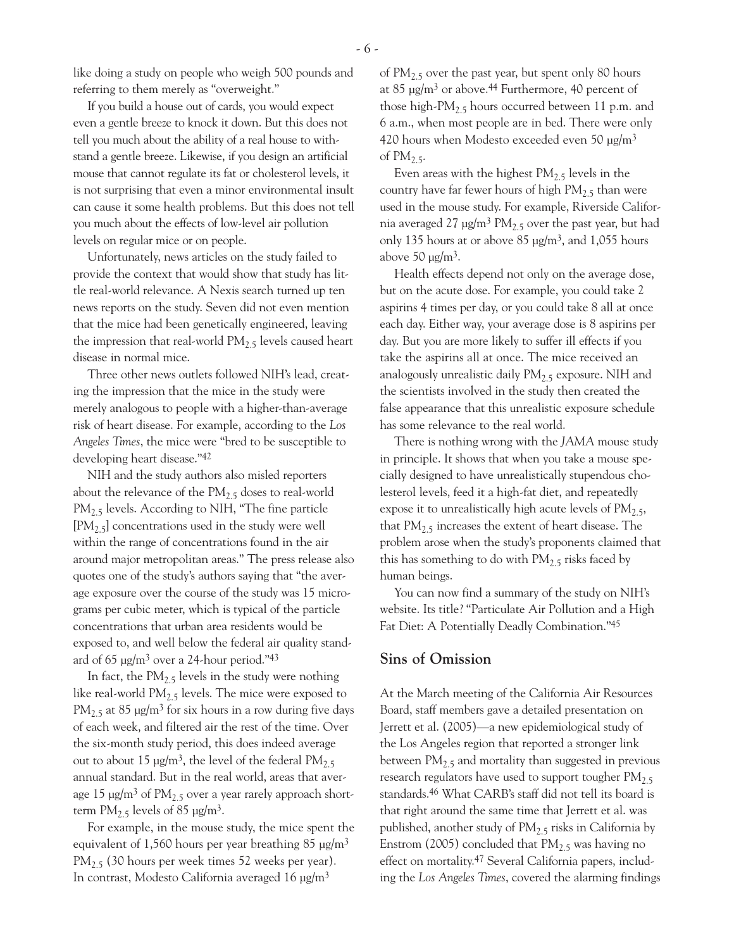like doing a study on people who weigh 500 pounds and referring to them merely as "overweight."

If you build a house out of cards, you would expect even a gentle breeze to knock it down. But this does not tell you much about the ability of a real house to withstand a gentle breeze. Likewise, if you design an artificial mouse that cannot regulate its fat or cholesterol levels, it is not surprising that even a minor environmental insult can cause it some health problems. But this does not tell you much about the effects of low-level air pollution levels on regular mice or on people.

Unfortunately, news articles on the study failed to provide the context that would show that study has little real-world relevance. A Nexis search turned up ten news reports on the study. Seven did not even mention that the mice had been genetically engineered, leaving the impression that real-world  $PM<sub>2.5</sub>$  levels caused heart disease in normal mice.

Three other news outlets followed NIH's lead, creating the impression that the mice in the study were merely analogous to people with a higher-than-average risk of heart disease. For example, according to the *Los Angeles Times*, the mice were "bred to be susceptible to developing heart disease."42

NIH and the study authors also misled reporters about the relevance of the  $PM<sub>2.5</sub>$  doses to real-world PM<sub>2.5</sub> levels. According to NIH, "The fine particle  $[PM<sub>2.5</sub>]$  concentrations used in the study were well within the range of concentrations found in the air around major metropolitan areas." The press release also quotes one of the study's authors saying that "the average exposure over the course of the study was 15 micrograms per cubic meter, which is typical of the particle concentrations that urban area residents would be exposed to, and well below the federal air quality standard of  $65 \mu g/m^3$  over a 24-hour period."43

In fact, the  $PM_{2.5}$  levels in the study were nothing like real-world  $PM_{2,5}$  levels. The mice were exposed to  $PM_{2.5}$  at 85  $\mu$ g/m<sup>3</sup> for six hours in a row during five days of each week, and filtered air the rest of the time. Over the six-month study period, this does indeed average out to about 15  $\mu$ g/m<sup>3</sup>, the level of the federal PM<sub>2.5</sub> annual standard. But in the real world, areas that average 15  $\mu$ g/m<sup>3</sup> of PM<sub>2.5</sub> over a year rarely approach shortterm  $PM_{2.5}$  levels of 85  $\mu$ g/m<sup>3</sup>.

For example, in the mouse study, the mice spent the equivalent of 1,560 hours per year breathing 85  $\mu$ g/m<sup>3</sup>  $PM_{2.5}$  (30 hours per week times 52 weeks per year). In contrast, Modesto California averaged 16  $\mu$ g/m<sup>3</sup>

of  $PM_{2,5}$  over the past year, but spent only 80 hours at 85  $\mu$ g/m<sup>3</sup> or above.<sup>44</sup> Furthermore, 40 percent of those high-PM<sub>2.5</sub> hours occurred between 11 p.m. and 6 a.m., when most people are in bed. There were only 420 hours when Modesto exceeded even 50 µg/m3 of  $PM_{2.5}$ .

Even areas with the highest  $PM_{2.5}$  levels in the country have far fewer hours of high  $PM_{2,5}$  than were used in the mouse study. For example, Riverside California averaged 27  $\mu$ g/m<sup>3</sup> PM<sub>2.5</sub> over the past year, but had only 135 hours at or above 85  $\mu$ g/m<sup>3</sup>, and 1,055 hours above 50  $\mu$ g/m<sup>3</sup>.

Health effects depend not only on the average dose, but on the acute dose. For example, you could take 2 aspirins 4 times per day, or you could take 8 all at once each day. Either way, your average dose is 8 aspirins per day. But you are more likely to suffer ill effects if you take the aspirins all at once. The mice received an analogously unrealistic daily  $PM<sub>2.5</sub>$  exposure. NIH and the scientists involved in the study then created the false appearance that this unrealistic exposure schedule has some relevance to the real world.

There is nothing wrong with the *JAMA* mouse study in principle. It shows that when you take a mouse specially designed to have unrealistically stupendous cholesterol levels, feed it a high-fat diet, and repeatedly expose it to unrealistically high acute levels of  $PM_{2.5}$ , that  $PM<sub>2.5</sub>$  increases the extent of heart disease. The problem arose when the study's proponents claimed that this has something to do with  $PM_{2.5}$  risks faced by human beings.

You can now find a summary of the study on NIH's website. Its title? "Particulate Air Pollution and a High Fat Diet: A Potentially Deadly Combination."45

#### **Sins of Omission**

At the March meeting of the California Air Resources Board, staff members gave a detailed presentation on Jerrett et al. (2005)—a new epidemiological study of the Los Angeles region that reported a stronger link between  $PM_{2.5}$  and mortality than suggested in previous research regulators have used to support tougher  $PM<sub>2.5</sub>$ standards.46 What CARB's staff did not tell its board is that right around the same time that Jerrett et al. was published, another study of  $PM<sub>2.5</sub>$  risks in California by Enstrom (2005) concluded that  $PM<sub>2.5</sub>$  was having no effect on mortality.47 Several California papers, including the *Los Angeles Times*, covered the alarming findings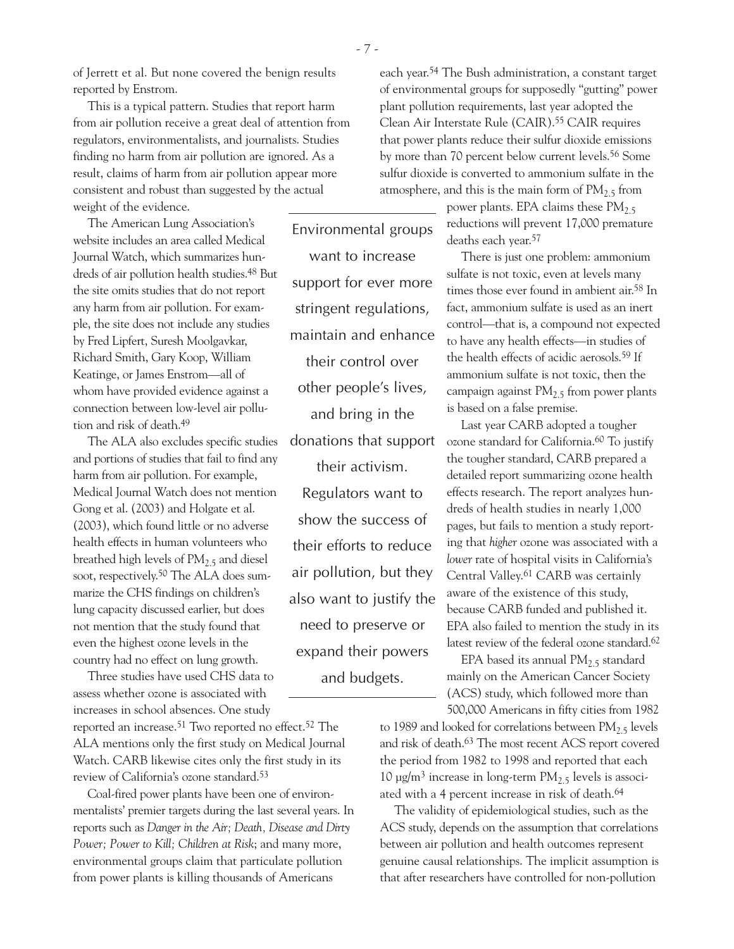of Jerrett et al. But none covered the benign results reported by Enstrom.

This is a typical pattern. Studies that report harm from air pollution receive a great deal of attention from regulators, environmentalists, and journalists. Studies finding no harm from air pollution are ignored. As a result, claims of harm from air pollution appear more consistent and robust than suggested by the actual

weight of the evidence.

The American Lung Association's website includes an area called Medical Journal Watch, which summarizes hundreds of air pollution health studies.48 But the site omits studies that do not report any harm from air pollution. For example, the site does not include any studies by Fred Lipfert, Suresh Moolgavkar, Richard Smith, Gary Koop, William Keatinge, or James Enstrom—all of whom have provided evidence against a connection between low-level air pollution and risk of death.49

The ALA also excludes specific studies and portions of studies that fail to find any harm from air pollution. For example, Medical Journal Watch does not mention Gong et al. (2003) and Holgate et al. (2003), which found little or no adverse health effects in human volunteers who breathed high levels of  $PM_{2.5}$  and diesel soot, respectively.<sup>50</sup> The ALA does summarize the CHS findings on children's lung capacity discussed earlier, but does not mention that the study found that even the highest ozone levels in the country had no effect on lung growth.

Three studies have used CHS data to assess whether ozone is associated with increases in school absences. One study

reported an increase.<sup>51</sup> Two reported no effect.<sup>52</sup> The ALA mentions only the first study on Medical Journal Watch. CARB likewise cites only the first study in its review of California's ozone standard.53

Coal-fired power plants have been one of environmentalists' premier targets during the last several years. In reports such as *Danger in the Air; Death, Disease and Dirty Power; Power to Kill; Children at Risk*; and many more, environmental groups claim that particulate pollution from power plants is killing thousands of Americans

Environmental groups want to increase support for ever more stringent regulations, maintain and enhance their control over other people's lives, and bring in the donations that support their activism. Regulators want to show the success of their efforts to reduce air pollution, but they also want to justify the need to preserve or expand their powers and budgets.

each year.54 The Bush administration, a constant target of environmental groups for supposedly "gutting" power plant pollution requirements, last year adopted the Clean Air Interstate Rule (CAIR).55 CAIR requires that power plants reduce their sulfur dioxide emissions by more than 70 percent below current levels.56 Some sulfur dioxide is converted to ammonium sulfate in the atmosphere, and this is the main form of  $PM_{2.5}$  from

> power plants. EPA claims these  $PM_{2.5}$ reductions will prevent 17,000 premature deaths each year.57

There is just one problem: ammonium sulfate is not toxic, even at levels many times those ever found in ambient air.58 In fact, ammonium sulfate is used as an inert control—that is, a compound not expected to have any health effects—in studies of the health effects of acidic aerosols.59 If ammonium sulfate is not toxic, then the campaign against  $PM<sub>2.5</sub>$  from power plants is based on a false premise.

Last year CARB adopted a tougher ozone standard for California.60 To justify the tougher standard, CARB prepared a detailed report summarizing ozone health effects research. The report analyzes hundreds of health studies in nearly 1,000 pages, but fails to mention a study reporting that *higher* ozone was associated with a *lower* rate of hospital visits in California's Central Valley.61 CARB was certainly aware of the existence of this study, because CARB funded and published it. EPA also failed to mention the study in its latest review of the federal ozone standard.<sup>62</sup>

EPA based its annual  $PM<sub>2.5</sub>$  standard mainly on the American Cancer Society (ACS) study, which followed more than 500,000 Americans in fifty cities from 1982

to 1989 and looked for correlations between  $PM<sub>2.5</sub>$  levels and risk of death.63 The most recent ACS report covered the period from 1982 to 1998 and reported that each 10  $\mu$ g/m<sup>3</sup> increase in long-term PM<sub>2.5</sub> levels is associated with a 4 percent increase in risk of death.64

The validity of epidemiological studies, such as the ACS study, depends on the assumption that correlations between air pollution and health outcomes represent genuine causal relationships. The implicit assumption is that after researchers have controlled for non-pollution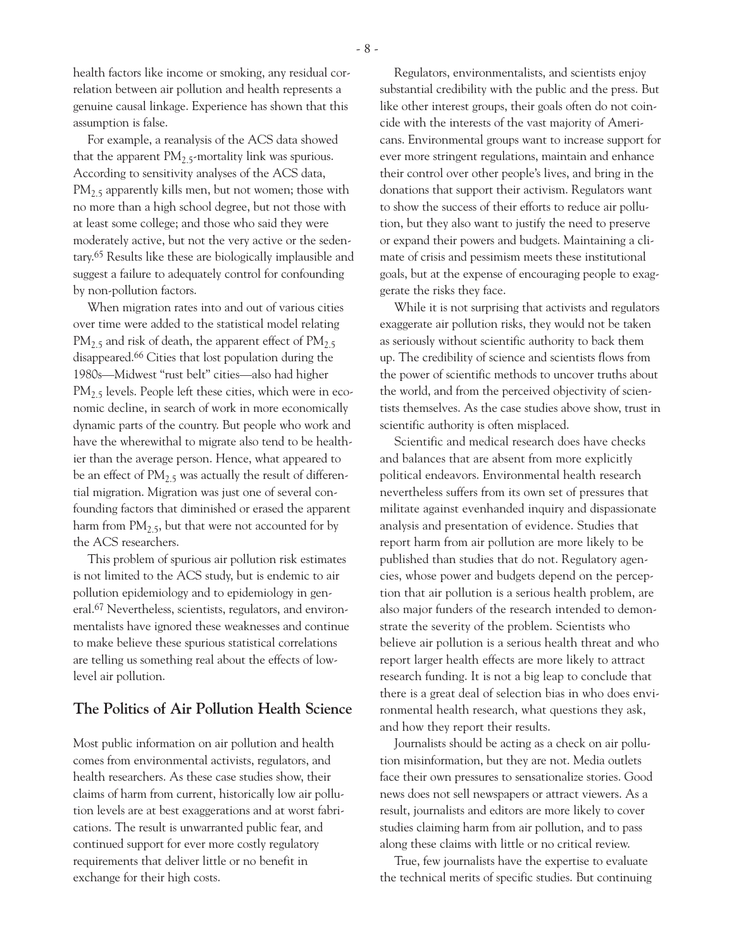health factors like income or smoking, any residual correlation between air pollution and health represents a genuine causal linkage. Experience has shown that this assumption is false.

For example, a reanalysis of the ACS data showed that the apparent  $PM<sub>2.5</sub>$ -mortality link was spurious. According to sensitivity analyses of the ACS data,  $PM<sub>2.5</sub>$  apparently kills men, but not women; those with no more than a high school degree, but not those with at least some college; and those who said they were moderately active, but not the very active or the sedentary.65 Results like these are biologically implausible and suggest a failure to adequately control for confounding by non-pollution factors.

When migration rates into and out of various cities over time were added to the statistical model relating  $PM_{2.5}$  and risk of death, the apparent effect of  $PM_{2.5}$ disappeared.66 Cities that lost population during the 1980s—Midwest "rust belt" cities—also had higher  $PM<sub>2.5</sub>$  levels. People left these cities, which were in economic decline, in search of work in more economically dynamic parts of the country. But people who work and have the wherewithal to migrate also tend to be healthier than the average person. Hence, what appeared to be an effect of  $PM_2$ , was actually the result of differential migration. Migration was just one of several confounding factors that diminished or erased the apparent harm from  $PM_{2.5}$ , but that were not accounted for by the ACS researchers.

This problem of spurious air pollution risk estimates is not limited to the ACS study, but is endemic to air pollution epidemiology and to epidemiology in general.67 Nevertheless, scientists, regulators, and environmentalists have ignored these weaknesses and continue to make believe these spurious statistical correlations are telling us something real about the effects of lowlevel air pollution.

### **The Politics of Air Pollution Health Science**

Most public information on air pollution and health comes from environmental activists, regulators, and health researchers. As these case studies show, their claims of harm from current, historically low air pollution levels are at best exaggerations and at worst fabrications. The result is unwarranted public fear, and continued support for ever more costly regulatory requirements that deliver little or no benefit in exchange for their high costs.

Regulators, environmentalists, and scientists enjoy substantial credibility with the public and the press. But like other interest groups, their goals often do not coincide with the interests of the vast majority of Americans. Environmental groups want to increase support for ever more stringent regulations, maintain and enhance their control over other people's lives, and bring in the donations that support their activism. Regulators want to show the success of their efforts to reduce air pollution, but they also want to justify the need to preserve or expand their powers and budgets. Maintaining a climate of crisis and pessimism meets these institutional goals, but at the expense of encouraging people to exaggerate the risks they face.

While it is not surprising that activists and regulators exaggerate air pollution risks, they would not be taken as seriously without scientific authority to back them up. The credibility of science and scientists flows from the power of scientific methods to uncover truths about the world, and from the perceived objectivity of scientists themselves. As the case studies above show, trust in scientific authority is often misplaced.

Scientific and medical research does have checks and balances that are absent from more explicitly political endeavors. Environmental health research nevertheless suffers from its own set of pressures that militate against evenhanded inquiry and dispassionate analysis and presentation of evidence. Studies that report harm from air pollution are more likely to be published than studies that do not. Regulatory agencies, whose power and budgets depend on the perception that air pollution is a serious health problem, are also major funders of the research intended to demonstrate the severity of the problem. Scientists who believe air pollution is a serious health threat and who report larger health effects are more likely to attract research funding. It is not a big leap to conclude that there is a great deal of selection bias in who does environmental health research, what questions they ask, and how they report their results.

Journalists should be acting as a check on air pollution misinformation, but they are not. Media outlets face their own pressures to sensationalize stories. Good news does not sell newspapers or attract viewers. As a result, journalists and editors are more likely to cover studies claiming harm from air pollution, and to pass along these claims with little or no critical review.

True, few journalists have the expertise to evaluate the technical merits of specific studies. But continuing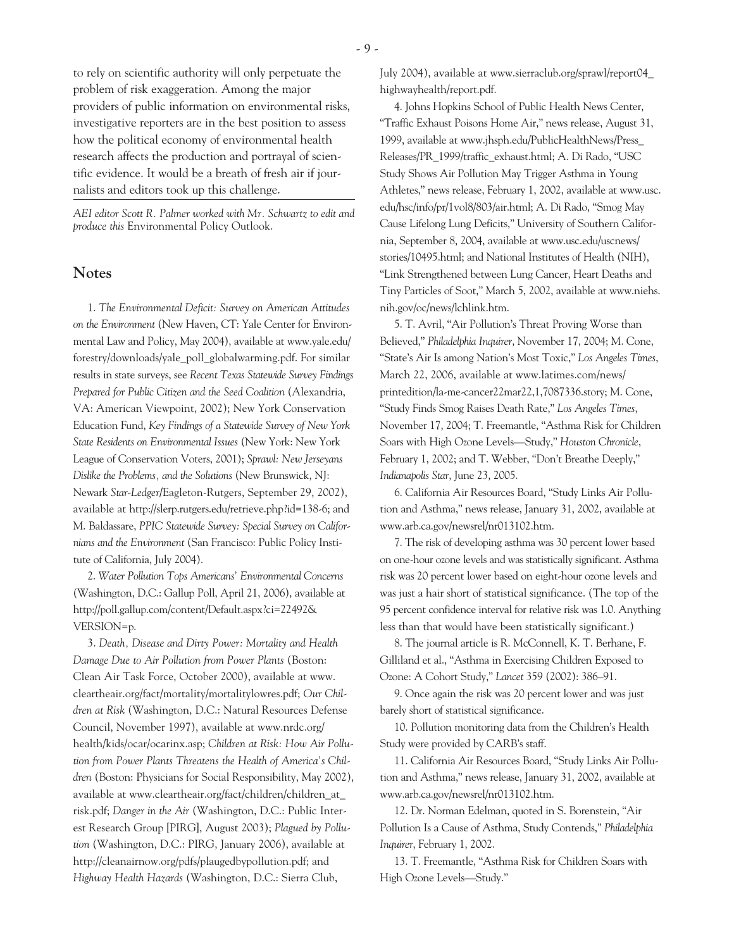to rely on scientific authority will only perpetuate the problem of risk exaggeration. Among the major providers of public information on environmental risks, investigative reporters are in the best position to assess how the political economy of environmental health research affects the production and portrayal of scientific evidence. It would be a breath of fresh air if journalists and editors took up this challenge.

*AEI editor Scott R. Palmer worked with Mr. Schwartz to edit and produce this* Environmental Policy Outlook.

# **Notes**

1. *The Environmental Deficit: Survey on American Attitudes on the Environment* (New Haven, CT: Yale Center for Environmental Law and Policy, May 2004), available at www.yale.edu/ forestry/downloads/yale\_poll\_globalwarming.pdf. For similar results in state surveys, see *Recent Texas Statewide Survey Findings Prepared for Public Citizen and the Seed Coalition* (Alexandria, VA: American Viewpoint, 2002); New York Conservation Education Fund, *Key Findings of a Statewide Survey of New York State Residents on Environmental Issues* (New York: New York League of Conservation Voters, 2001); *Sprawl: New Jerseyans Dislike the Problems, and the Solutions* (New Brunswick, NJ: Newark *Star-Ledger/*Eagleton-Rutgers, September 29, 2002), available at http://slerp.rutgers.edu/retrieve.php?id=138-6; and M. Baldassare, *PPIC Statewide Survey: Special Survey on Californians and the Environment* (San Francisco: Public Policy Institute of California, July 2004).

2. *Water Pollution Tops Americans' Environmental Concerns* (Washington, D.C.: Gallup Poll, April 21, 2006), available at http://poll.gallup.com/content/Default.aspx?ci=22492& VERSION=p.

3. *Death, Disease and Dirty Power: Mortality and Health Damage Due to Air Pollution from Power Plants* (Boston: Clean Air Task Force, October 2000), available at www. cleartheair.org/fact/mortality/mortalitylowres.pdf; *Our Children at Risk* (Washington, D.C.: Natural Resources Defense Council, November 1997), available at www.nrdc.org/ health/kids/ocar/ocarinx.asp; *Children at Risk: How Air Pollution from Power Plants Threatens the Health of America's Children* (Boston: Physicians for Social Responsibility, May 2002), available at www.cleartheair.org/fact/children/children\_at\_ risk.pdf; *Danger in the Air* (Washington, D.C.: Public Interest Research Group [PIRG], August 2003); *Plagued by Pollution* (Washington, D.C.: PIRG, January 2006), available at http://cleanairnow.org/pdfs/plaugedbypollution.pdf; and *Highway Health Hazards* (Washington, D.C.: Sierra Club,

July 2004), available at www.sierraclub.org/sprawl/report04\_ highwayhealth/report.pdf.

4. Johns Hopkins School of Public Health News Center, "Traffic Exhaust Poisons Home Air," news release, August 31, 1999, available at www.jhsph.edu/PublicHealthNews/Press\_ Releases/PR\_1999/traffic\_exhaust.html; A. Di Rado, "USC Study Shows Air Pollution May Trigger Asthma in Young Athletes," news release, February 1, 2002, available at www.usc. edu/hsc/info/pr/1vol8/803/air.html; A. Di Rado, "Smog May Cause Lifelong Lung Deficits," University of Southern California, September 8, 2004, available at www.usc.edu/uscnews/ stories/10495.html; and National Institutes of Health (NIH), "Link Strengthened between Lung Cancer, Heart Deaths and Tiny Particles of Soot," March 5, 2002, available at www.niehs. nih.gov/oc/news/lchlink.htm.

5. T. Avril, "Air Pollution's Threat Proving Worse than Believed," *Philadelphia Inquirer*, November 17, 2004; M. Cone, "State's Air Is among Nation's Most Toxic," *Los Angeles Times*, March 22, 2006, available at www.latimes.com/news/ printedition/la-me-cancer22mar22,1,7087336.story; M. Cone, "Study Finds Smog Raises Death Rate," *Los Angeles Times*, November 17, 2004; T. Freemantle, "Asthma Risk for Children Soars with High Ozone Levels—Study," *Houston Chronicle*, February 1, 2002; and T. Webber, "Don't Breathe Deeply," *Indianapolis Star*, June 23, 2005.

6. California Air Resources Board, "Study Links Air Pollution and Asthma," news release, January 31, 2002, available at www.arb.ca.gov/newsrel/nr013102.htm.

7. The risk of developing asthma was 30 percent lower based on one-hour ozone levels and was statistically significant. Asthma risk was 20 percent lower based on eight-hour ozone levels and was just a hair short of statistical significance. (The top of the 95 percent confidence interval for relative risk was 1.0. Anything less than that would have been statistically significant.)

8. The journal article is R. McConnell, K. T. Berhane, F. Gilliland et al., "Asthma in Exercising Children Exposed to Ozone: A Cohort Study," *Lancet* 359 (2002): 386–91.

9. Once again the risk was 20 percent lower and was just barely short of statistical significance.

10. Pollution monitoring data from the Children's Health Study were provided by CARB's staff.

11. California Air Resources Board, "Study Links Air Pollution and Asthma," news release, January 31, 2002, available at www.arb.ca.gov/newsrel/nr013102.htm.

12. Dr. Norman Edelman, quoted in S. Borenstein, "Air Pollution Is a Cause of Asthma, Study Contends," *Philadelphia Inquirer*, February 1, 2002.

13. T. Freemantle, "Asthma Risk for Children Soars with High Ozone Levels—Study."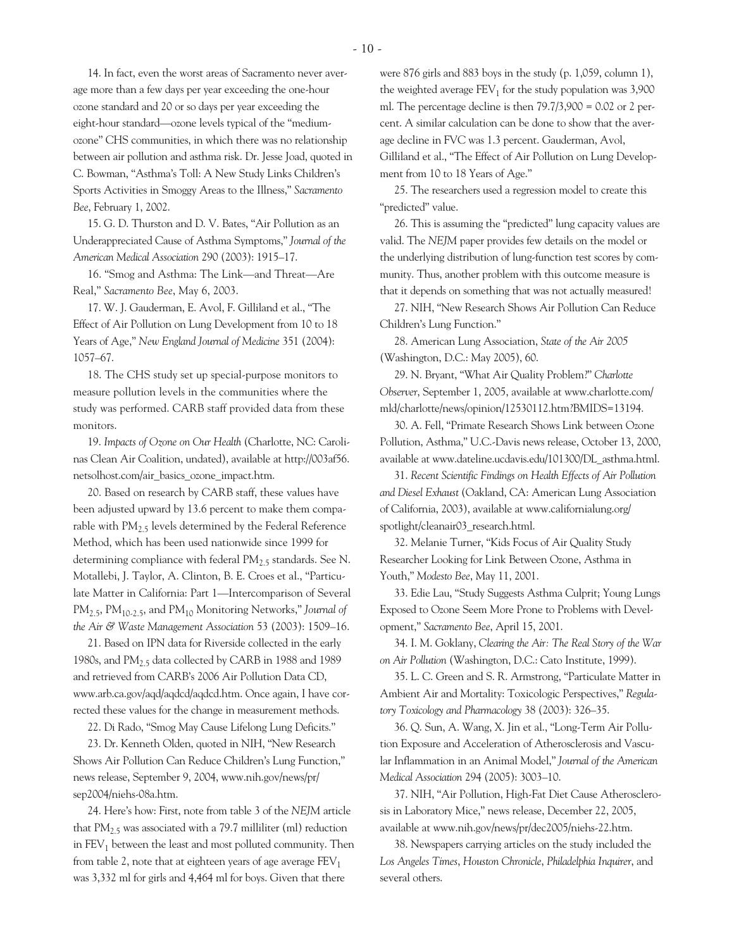14. In fact, even the worst areas of Sacramento never average more than a few days per year exceeding the one-hour ozone standard and 20 or so days per year exceeding the eight-hour standard—ozone levels typical of the "mediumozone" CHS communities, in which there was no relationship between air pollution and asthma risk. Dr. Jesse Joad, quoted in C. Bowman, "Asthma's Toll: A New Study Links Children's Sports Activities in Smoggy Areas to the Illness," *Sacramento Bee*, February 1, 2002.

15. G. D. Thurston and D. V. Bates, "Air Pollution as an Underappreciated Cause of Asthma Symptoms," *Journal of the American Medical Association* 290 (2003): 1915–17.

16. "Smog and Asthma: The Link—and Threat—Are Real," *Sacramento Bee*, May 6, 2003.

17. W. J. Gauderman, E. Avol, F. Gilliland et al., "The Effect of Air Pollution on Lung Development from 10 to 18 Years of Age," *New England Journal of Medicine* 351 (2004): 1057–67.

18. The CHS study set up special-purpose monitors to measure pollution levels in the communities where the study was performed. CARB staff provided data from these monitors.

19. *Impacts of Ozone on Our Health* (Charlotte, NC: Carolinas Clean Air Coalition, undated), available at http://003af56. netsolhost.com/air\_basics\_ozone\_impact.htm.

20. Based on research by CARB staff, these values have been adjusted upward by 13.6 percent to make them comparable with  $PM<sub>2.5</sub>$  levels determined by the Federal Reference Method, which has been used nationwide since 1999 for determining compliance with federal  $PM_{2.5}$  standards. See N. Motallebi, J. Taylor, A. Clinton, B. E. Croes et al., "Particulate Matter in California: Part 1—Intercomparison of Several PM2.5, PM10-2.5, and PM10 Monitoring Networks," *Journal of the Air & Waste Management Association* 53 (2003): 1509–16.

21. Based on IPN data for Riverside collected in the early 1980s, and  $PM<sub>2.5</sub>$  data collected by CARB in 1988 and 1989 and retrieved from CARB's 2006 Air Pollution Data CD, www.arb.ca.gov/aqd/aqdcd/aqdcd.htm. Once again, I have corrected these values for the change in measurement methods.

22. Di Rado, "Smog May Cause Lifelong Lung Deficits."

23. Dr. Kenneth Olden, quoted in NIH, "New Research Shows Air Pollution Can Reduce Children's Lung Function," news release, September 9, 2004, www.nih.gov/news/pr/ sep2004/niehs-08a.htm.

24. Here's how: First, note from table 3 of the *NEJM* article that  $PM_{2.5}$  was associated with a 79.7 milliliter (ml) reduction in  $FEV<sub>1</sub>$  between the least and most polluted community. Then from table 2, note that at eighteen years of age average  $FEV<sub>1</sub>$ was 3,332 ml for girls and 4,464 ml for boys. Given that there

were 876 girls and 883 boys in the study (p. 1,059, column 1), the weighted average  $FEV<sub>1</sub>$  for the study population was 3,900 ml. The percentage decline is then  $79.7/3,900 = 0.02$  or 2 percent. A similar calculation can be done to show that the average decline in FVC was 1.3 percent. Gauderman, Avol, Gilliland et al., "The Effect of Air Pollution on Lung Development from 10 to 18 Years of Age."

25. The researchers used a regression model to create this "predicted" value.

26. This is assuming the "predicted" lung capacity values are valid. The *NEJM* paper provides few details on the model or the underlying distribution of lung-function test scores by community. Thus, another problem with this outcome measure is that it depends on something that was not actually measured!

27. NIH, "New Research Shows Air Pollution Can Reduce Children's Lung Function."

28. American Lung Association, *State of the Air 2005* (Washington, D.C.: May 2005), 60.

29. N. Bryant, "What Air Quality Problem?" *Charlotte Observer*, September 1, 2005, available at www.charlotte.com/ mld/charlotte/news/opinion/12530112.htm?BMIDS=13194.

30. A. Fell, "Primate Research Shows Link between Ozone Pollution, Asthma," U.C.-Davis news release, October 13, 2000, available at www.dateline.ucdavis.edu/101300/DL\_asthma.html.

31. *Recent Scientific Findings on Health Effects of Air Pollution and Diesel Exhaust* (Oakland, CA: American Lung Association of California, 2003), available at www.californialung.org/ spotlight/cleanair03\_research.html.

32. Melanie Turner, "Kids Focus of Air Quality Study Researcher Looking for Link Between Ozone, Asthma in Youth," *Modesto Bee*, May 11, 2001.

33. Edie Lau, "Study Suggests Asthma Culprit; Young Lungs Exposed to Ozone Seem More Prone to Problems with Development," *Sacramento Bee*, April 15, 2001.

34. I. M. Goklany, *Clearing the Air: The Real Story of the War on Air Pollution* (Washington, D.C.: Cato Institute, 1999).

35. L. C. Green and S. R. Armstrong, "Particulate Matter in Ambient Air and Mortality: Toxicologic Perspectives," *Regulatory Toxicology and Pharmacology* 38 (2003): 326–35.

36. Q. Sun, A. Wang, X. Jin et al., "Long-Term Air Pollution Exposure and Acceleration of Atherosclerosis and Vascular Inflammation in an Animal Model," *Journal of the American Medical Association* 294 (2005): 3003–10.

37. NIH, "Air Pollution, High-Fat Diet Cause Atherosclerosis in Laboratory Mice," news release, December 22, 2005, available at www.nih.gov/news/pr/dec2005/niehs-22.htm.

38. Newspapers carrying articles on the study included the *Los Angeles Times*, *Houston Chronicle*, *Philadelphia Inquirer*, and several others.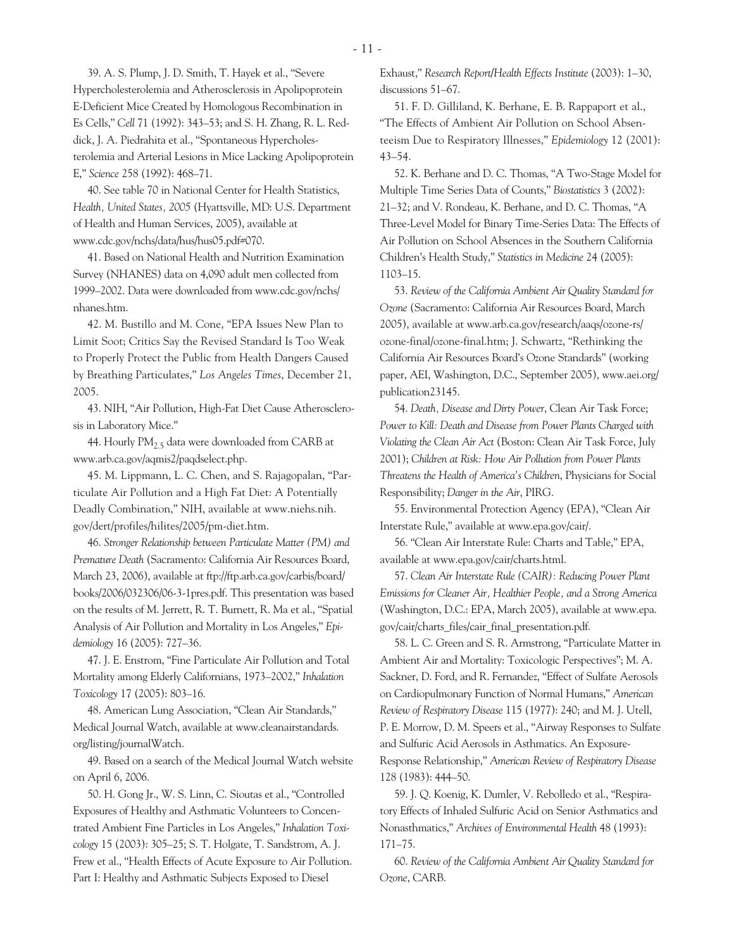39. A. S. Plump, J. D. Smith, T. Hayek et al., "Severe Hypercholesterolemia and Atherosclerosis in Apolipoprotein E-Deficient Mice Created by Homologous Recombination in Es Cells," *Cell* 71 (1992): 343–53; and S. H. Zhang, R. L. Reddick, J. A. Piedrahita et al., "Spontaneous Hypercholesterolemia and Arterial Lesions in Mice Lacking Apolipoprotein E," *Science* 258 (1992): 468–71.

40. See table 70 in National Center for Health Statistics, *Health, United States, 2005* (Hyattsville, MD: U.S. Department of Health and Human Services, 2005), available at www.cdc.gov/nchs/data/hus/hus05.pdf#070.

41. Based on National Health and Nutrition Examination Survey (NHANES) data on 4,090 adult men collected from 1999–2002. Data were downloaded from www.cdc.gov/nchs/ nhanes.htm.

42. M. Bustillo and M. Cone, "EPA Issues New Plan to Limit Soot; Critics Say the Revised Standard Is Too Weak to Properly Protect the Public from Health Dangers Caused by Breathing Particulates," *Los Angeles Times*, December 21, 2005.

43. NIH, "Air Pollution, High-Fat Diet Cause Atherosclerosis in Laboratory Mice."

44. Hourly  $PM<sub>2.5</sub>$  data were downloaded from CARB at www.arb.ca.gov/aqmis2/paqdselect.php.

45. M. Lippmann, L. C. Chen, and S. Rajagopalan, "Particulate Air Pollution and a High Fat Diet: A Potentially Deadly Combination," NIH, available at www.niehs.nih. gov/dert/profiles/hilites/2005/pm-diet.htm.

46. *Stronger Relationship between Particulate Matter (PM) and Premature Death* (Sacramento: California Air Resources Board, March 23, 2006), available at ftp://ftp.arb.ca.gov/carbis/board/ books/2006/032306/06-3-1pres.pdf. This presentation was based on the results of M. Jerrett, R. T. Burnett, R. Ma et al., "Spatial Analysis of Air Pollution and Mortality in Los Angeles," *Epidemiology* 16 (2005): 727–36.

47. J. E. Enstrom, "Fine Particulate Air Pollution and Total Mortality among Elderly Californians, 1973–2002," *Inhalation Toxicology* 17 (2005): 803–16.

48. American Lung Association, "Clean Air Standards," Medical Journal Watch, available at www.cleanairstandards. org/listing/journalWatch.

49. Based on a search of the Medical Journal Watch website on April 6, 2006.

50. H. Gong Jr., W. S. Linn, C. Sioutas et al., "Controlled Exposures of Healthy and Asthmatic Volunteers to Concentrated Ambient Fine Particles in Los Angeles," *Inhalation Toxicology* 15 (2003): 305–25; S. T. Holgate, T. Sandstrom, A. J. Frew et al., "Health Effects of Acute Exposure to Air Pollution. Part I: Healthy and Asthmatic Subjects Exposed to Diesel

Exhaust," *Research Report/Health Effects Institute* (2003): 1–30, discussions 51–67.

51. F. D. Gilliland, K. Berhane, E. B. Rappaport et al., "The Effects of Ambient Air Pollution on School Absenteeism Due to Respiratory Illnesses," *Epidemiology* 12 (2001): 43–54.

52. K. Berhane and D. C. Thomas, "A Two-Stage Model for Multiple Time Series Data of Counts," *Biostatistics* 3 (2002): 21–32; and V. Rondeau, K. Berhane, and D. C. Thomas, "A Three-Level Model for Binary Time-Series Data: The Effects of Air Pollution on School Absences in the Southern California Children's Health Study," *Statistics in Medicine* 24 (2005): 1103–15.

53. *Review of the California Ambient Air Quality Standard for Ozone* (Sacramento: California Air Resources Board, March 2005), available at www.arb.ca.gov/research/aaqs/ozone-rs/ ozone-final/ozone-final.htm; J. Schwartz, "Rethinking the California Air Resources Board's Ozone Standards" (working paper, AEI, Washington, D.C., September 2005), www.aei.org/ publication23145.

54. *Death, Disease and Dirty Power*, Clean Air Task Force; *Power to Kill: Death and Disease from Power Plants Charged with Violating the Clean Air Act* (Boston: Clean Air Task Force, July 2001); *Children at Risk: How Air Pollution from Power Plants Threatens the Health of America's Children*, Physicians for Social Responsibility; *Danger in the Air*, PIRG.

55. Environmental Protection Agency (EPA), "Clean Air Interstate Rule," available at www.epa.gov/cair/.

56. "Clean Air Interstate Rule: Charts and Table," EPA, available at www.epa.gov/cair/charts.html.

57. *Clean Air Interstate Rule (CAIR): Reducing Power Plant Emissions for Cleaner Air, Healthier People, and a Strong America* (Washington, D.C.: EPA, March 2005), available at www.epa. gov/cair/charts\_files/cair\_final\_presentation.pdf.

58. L. C. Green and S. R. Armstrong, "Particulate Matter in Ambient Air and Mortality: Toxicologic Perspectives"; M. A. Sackner, D. Ford, and R. Fernandez, "Effect of Sulfate Aerosols on Cardiopulmonary Function of Normal Humans," *American Review of Respiratory Disease* 115 (1977): 240; and M. J. Utell, P. E. Morrow, D. M. Speers et al., "Airway Responses to Sulfate and Sulfuric Acid Aerosols in Asthmatics. An Exposure-Response Relationship," *American Review of Respiratory Disease* 128 (1983): 444–50.

59. J. Q. Koenig, K. Dumler, V. Rebolledo et al., "Respiratory Effects of Inhaled Sulfuric Acid on Senior Asthmatics and Nonasthmatics," *Archives of Environmental Health* 48 (1993): 171–75.

60. *Review of the California Ambient Air Quality Standard for Ozone*, CARB.